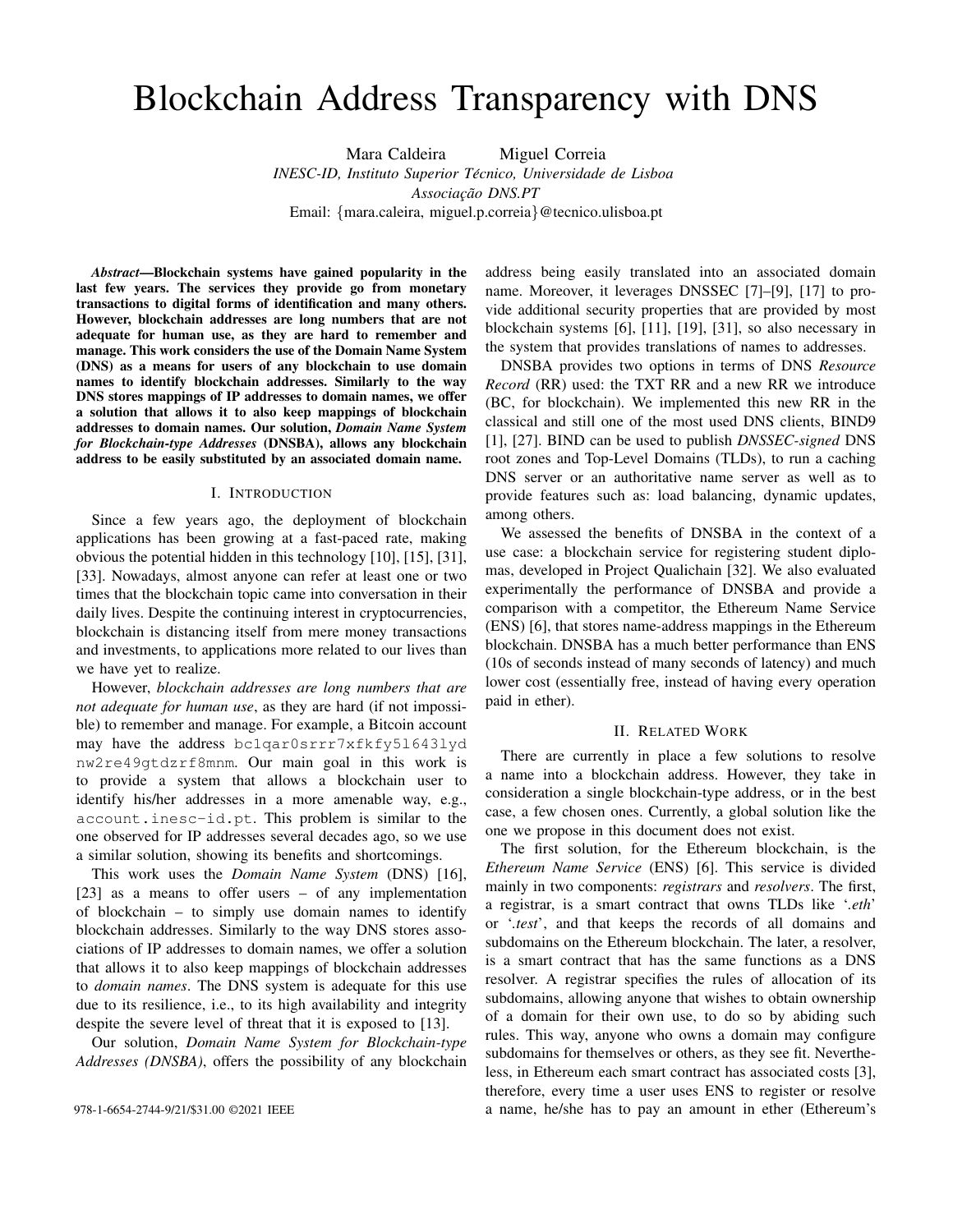# Blockchain Address Transparency with DNS

Mara Caldeira Miguel Correia *INESC-ID, Instituto Superior Tecnico, Universidade de Lisboa ´ Associac¸ao DNS.PT ˜* Email: {mara.caleira, miguel.p.correia}@tecnico.ulisboa.pt

*Abstract*—Blockchain systems have gained popularity in the last few years. The services they provide go from monetary transactions to digital forms of identification and many others. However, blockchain addresses are long numbers that are not adequate for human use, as they are hard to remember and manage. This work considers the use of the Domain Name System (DNS) as a means for users of any blockchain to use domain names to identify blockchain addresses. Similarly to the way DNS stores mappings of IP addresses to domain names, we offer a solution that allows it to also keep mappings of blockchain addresses to domain names. Our solution, *Domain Name System for Blockchain-type Addresses* (DNSBA), allows any blockchain address to be easily substituted by an associated domain name.

#### I. INTRODUCTION

Since a few years ago, the deployment of blockchain applications has been growing at a fast-paced rate, making obvious the potential hidden in this technology [10], [15], [31], [33]. Nowadays, almost anyone can refer at least one or two times that the blockchain topic came into conversation in their daily lives. Despite the continuing interest in cryptocurrencies, blockchain is distancing itself from mere money transactions and investments, to applications more related to our lives than we have yet to realize.

However, *blockchain addresses are long numbers that are not adequate for human use*, as they are hard (if not impossible) to remember and manage. For example, a Bitcoin account may have the address bc1qar0srrr7xfkfy5l643lyd nw2re49gtdzrf8mnm. Our main goal in this work is to provide a system that allows a blockchain user to identify his/her addresses in a more amenable way, e.g., account.inesc-id.pt. This problem is similar to the one observed for IP addresses several decades ago, so we use a similar solution, showing its benefits and shortcomings.

This work uses the *Domain Name System* (DNS) [16], [23] as a means to offer users – of any implementation of blockchain – to simply use domain names to identify blockchain addresses. Similarly to the way DNS stores associations of IP addresses to domain names, we offer a solution that allows it to also keep mappings of blockchain addresses to *domain names*. The DNS system is adequate for this use due to its resilience, i.e., to its high availability and integrity despite the severe level of threat that it is exposed to [13].

Our solution, *Domain Name System for Blockchain-type Addresses (DNSBA)*, offers the possibility of any blockchain address being easily translated into an associated domain name. Moreover, it leverages DNSSEC [7]–[9], [17] to provide additional security properties that are provided by most blockchain systems [6], [11], [19], [31], so also necessary in the system that provides translations of names to addresses.

DNSBA provides two options in terms of DNS *Resource Record* (RR) used: the TXT RR and a new RR we introduce (BC, for blockchain). We implemented this new RR in the classical and still one of the most used DNS clients, BIND9 [1], [27]. BIND can be used to publish *DNSSEC-signed* DNS root zones and Top-Level Domains (TLDs), to run a caching DNS server or an authoritative name server as well as to provide features such as: load balancing, dynamic updates, among others.

We assessed the benefits of DNSBA in the context of a use case: a blockchain service for registering student diplomas, developed in Project Qualichain [32]. We also evaluated experimentally the performance of DNSBA and provide a comparison with a competitor, the Ethereum Name Service (ENS) [6], that stores name-address mappings in the Ethereum blockchain. DNSBA has a much better performance than ENS (10s of seconds instead of many seconds of latency) and much lower cost (essentially free, instead of having every operation paid in ether).

## II. RELATED WORK

There are currently in place a few solutions to resolve a name into a blockchain address. However, they take in consideration a single blockchain-type address, or in the best case, a few chosen ones. Currently, a global solution like the one we propose in this document does not exist.

The first solution, for the Ethereum blockchain, is the *Ethereum Name Service* (ENS) [6]. This service is divided mainly in two components: *registrars* and *resolvers*. The first, a registrar, is a smart contract that owns TLDs like '*.eth*' or '*.test*', and that keeps the records of all domains and subdomains on the Ethereum blockchain. The later, a resolver, is a smart contract that has the same functions as a DNS resolver. A registrar specifies the rules of allocation of its subdomains, allowing anyone that wishes to obtain ownership of a domain for their own use, to do so by abiding such rules. This way, anyone who owns a domain may configure subdomains for themselves or others, as they see fit. Nevertheless, in Ethereum each smart contract has associated costs [3], therefore, every time a user uses ENS to register or resolve 978-1-6654-2744-9/21/\$31.00 ©2021 IEEE a name, he/she has to pay an amount in ether (Ethereum's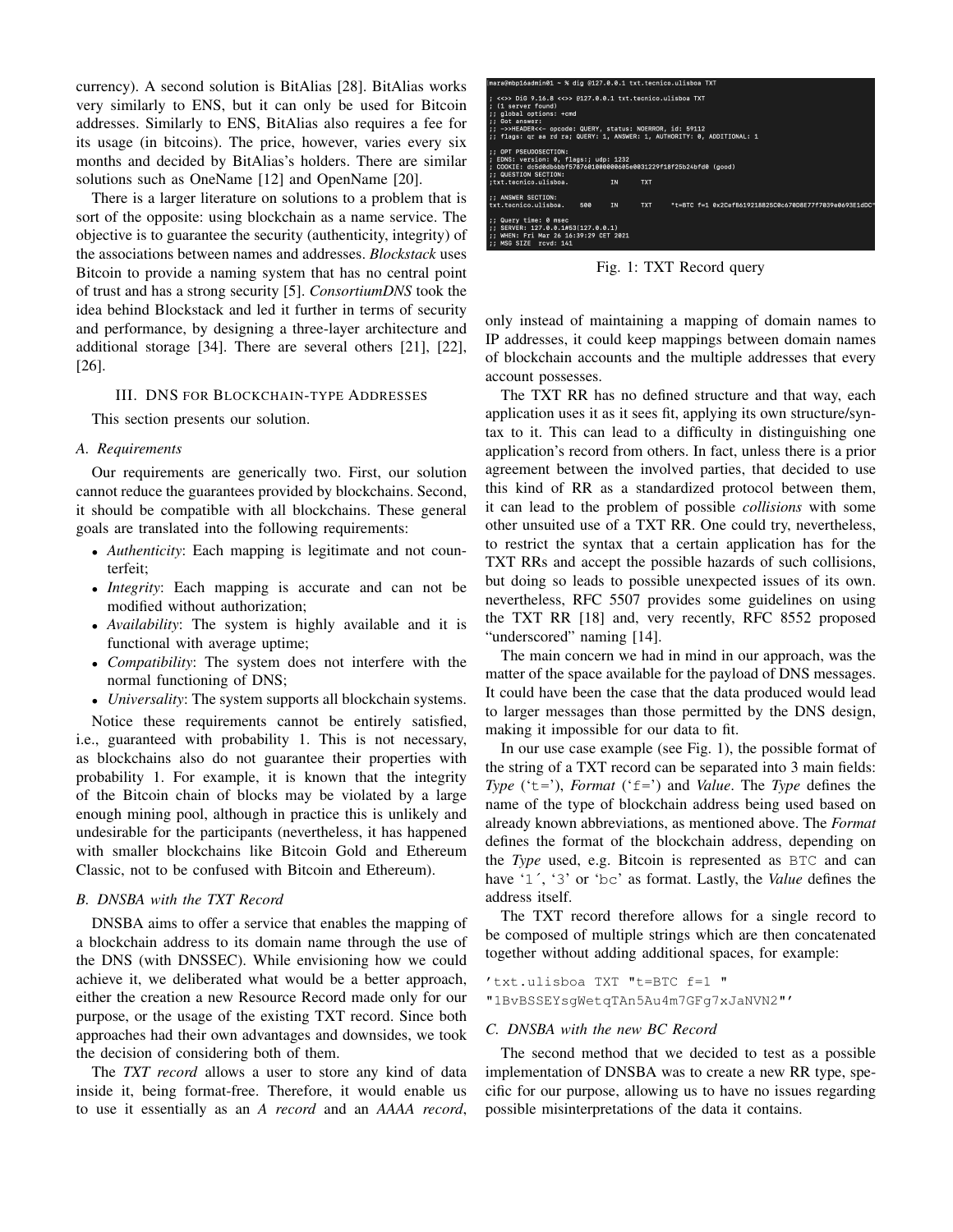currency). A second solution is BitAlias [28]. BitAlias works very similarly to ENS, but it can only be used for Bitcoin addresses. Similarly to ENS, BitAlias also requires a fee for its usage (in bitcoins). The price, however, varies every six months and decided by BitAlias's holders. There are similar solutions such as OneName [12] and OpenName [20].

There is a larger literature on solutions to a problem that is sort of the opposite: using blockchain as a name service. The objective is to guarantee the security (authenticity, integrity) of the associations between names and addresses. *Blockstack* uses Bitcoin to provide a naming system that has no central point of trust and has a strong security [5]. *ConsortiumDNS* took the idea behind Blockstack and led it further in terms of security and performance, by designing a three-layer architecture and additional storage [34]. There are several others [21], [22], [26].

## III. DNS FOR BLOCKCHAIN-TYPE ADDRESSES

This section presents our solution.

#### *A. Requirements*

Our requirements are generically two. First, our solution cannot reduce the guarantees provided by blockchains. Second, it should be compatible with all blockchains. These general goals are translated into the following requirements:

- *Authenticity*: Each mapping is legitimate and not counterfeit;
- *Integrity*: Each mapping is accurate and can not be modified without authorization;
- *Availability*: The system is highly available and it is functional with average uptime;
- *Compatibility*: The system does not interfere with the normal functioning of DNS;
- *Universality*: The system supports all blockchain systems.

Notice these requirements cannot be entirely satisfied, i.e., guaranteed with probability 1. This is not necessary, as blockchains also do not guarantee their properties with probability 1. For example, it is known that the integrity of the Bitcoin chain of blocks may be violated by a large enough mining pool, although in practice this is unlikely and undesirable for the participants (nevertheless, it has happened with smaller blockchains like Bitcoin Gold and Ethereum Classic, not to be confused with Bitcoin and Ethereum).

## *B. DNSBA with the TXT Record*

DNSBA aims to offer a service that enables the mapping of a blockchain address to its domain name through the use of the DNS (with DNSSEC). While envisioning how we could achieve it, we deliberated what would be a better approach, either the creation a new Resource Record made only for our purpose, or the usage of the existing TXT record. Since both approaches had their own advantages and downsides, we took the decision of considering both of them.

The *TXT record* allows a user to store any kind of data inside it, being format-free. Therefore, it would enable us to use it essentially as an *A record* and an *AAAA record*,



Fig. 1: TXT Record query

only instead of maintaining a mapping of domain names to IP addresses, it could keep mappings between domain names of blockchain accounts and the multiple addresses that every account possesses.

The TXT RR has no defined structure and that way, each application uses it as it sees fit, applying its own structure/syntax to it. This can lead to a difficulty in distinguishing one application's record from others. In fact, unless there is a prior agreement between the involved parties, that decided to use this kind of RR as a standardized protocol between them, it can lead to the problem of possible *collisions* with some other unsuited use of a TXT RR. One could try, nevertheless, to restrict the syntax that a certain application has for the TXT RRs and accept the possible hazards of such collisions, but doing so leads to possible unexpected issues of its own. nevertheless, RFC 5507 provides some guidelines on using the TXT RR [18] and, very recently, RFC 8552 proposed "underscored" naming [14].

The main concern we had in mind in our approach, was the matter of the space available for the payload of DNS messages. It could have been the case that the data produced would lead to larger messages than those permitted by the DNS design, making it impossible for our data to fit.

In our use case example (see Fig. 1), the possible format of the string of a TXT record can be separated into 3 main fields: *Type* ('t='), *Format* ('f=') and *Value*. The *Type* defines the name of the type of blockchain address being used based on already known abbreviations, as mentioned above. The *Format* defines the format of the blockchain address, depending on the *Type* used, e.g. Bitcoin is represented as BTC and can have '1´, '3' or 'bc' as format. Lastly, the *Value* defines the address itself.

The TXT record therefore allows for a single record to be composed of multiple strings which are then concatenated together without adding additional spaces, for example:

'txt.ulisboa TXT "t=BTC f=1 " "1BvBSSEYsgWetqTAn5Au4m7GFg7xJaNVN2"'

#### *C. DNSBA with the new BC Record*

The second method that we decided to test as a possible implementation of DNSBA was to create a new RR type, specific for our purpose, allowing us to have no issues regarding possible misinterpretations of the data it contains.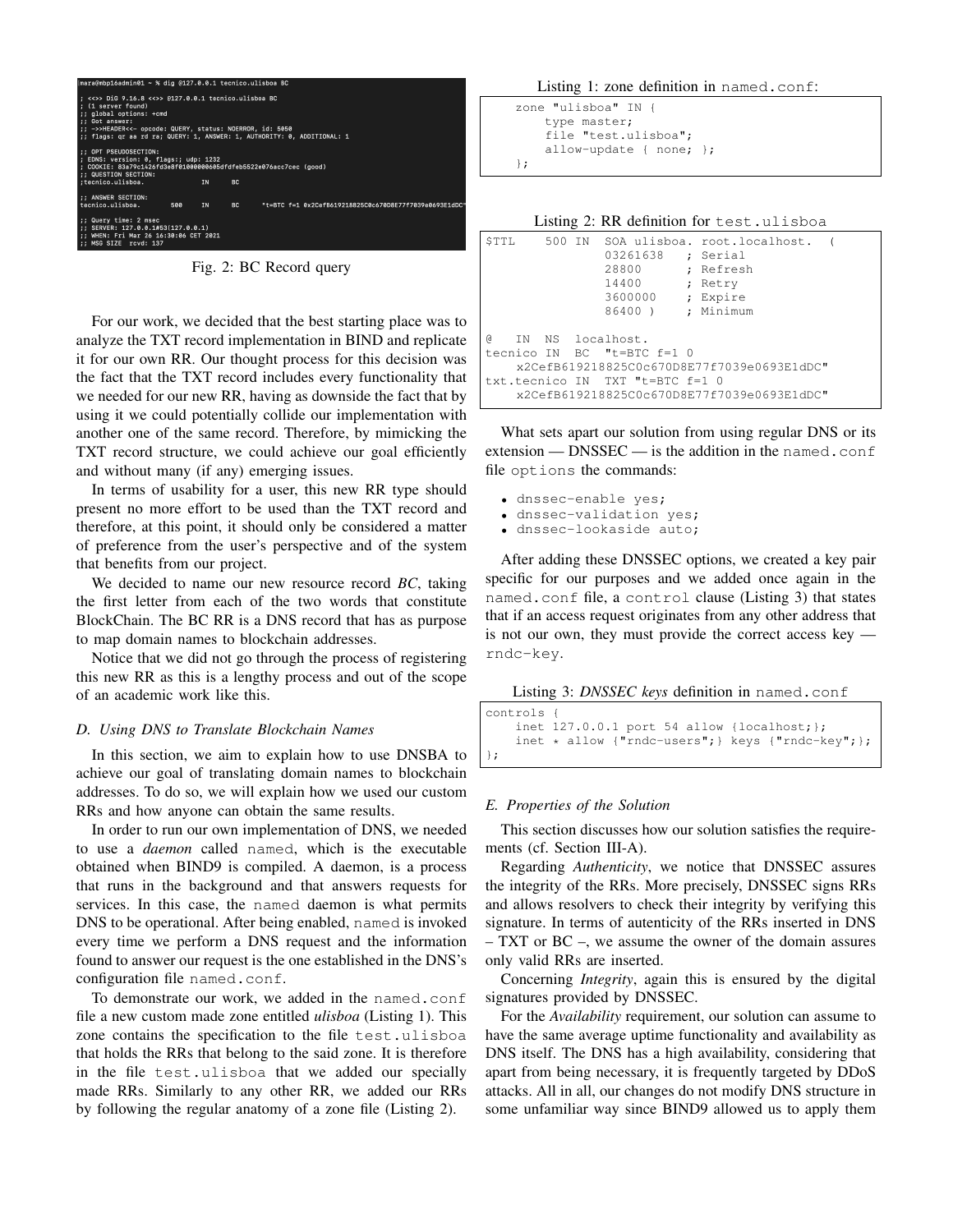

Fig. 2: BC Record query

For our work, we decided that the best starting place was to analyze the TXT record implementation in BIND and replicate it for our own RR. Our thought process for this decision was the fact that the TXT record includes every functionality that we needed for our new RR, having as downside the fact that by using it we could potentially collide our implementation with another one of the same record. Therefore, by mimicking the TXT record structure, we could achieve our goal efficiently and without many (if any) emerging issues.

In terms of usability for a user, this new RR type should present no more effort to be used than the TXT record and therefore, at this point, it should only be considered a matter of preference from the user's perspective and of the system that benefits from our project.

We decided to name our new resource record *BC*, taking the first letter from each of the two words that constitute BlockChain. The BC RR is a DNS record that has as purpose to map domain names to blockchain addresses.

Notice that we did not go through the process of registering this new RR as this is a lengthy process and out of the scope of an academic work like this.

#### *D. Using DNS to Translate Blockchain Names*

In this section, we aim to explain how to use DNSBA to achieve our goal of translating domain names to blockchain addresses. To do so, we will explain how we used our custom RRs and how anyone can obtain the same results.

In order to run our own implementation of DNS, we needed to use a *daemon* called named, which is the executable obtained when BIND9 is compiled. A daemon, is a process that runs in the background and that answers requests for services. In this case, the named daemon is what permits DNS to be operational. After being enabled, named is invoked every time we perform a DNS request and the information found to answer our request is the one established in the DNS's configuration file named.conf.

To demonstrate our work, we added in the named.conf file a new custom made zone entitled *ulisboa* (Listing 1). This zone contains the specification to the file test.ulisboa that holds the RRs that belong to the said zone. It is therefore in the file test.ulisboa that we added our specially made RRs. Similarly to any other RR, we added our RRs by following the regular anatomy of a zone file (Listing 2).

Listing 1: zone definition in named.conf:

```
zone "ulisboa" IN {
    type master;
    file "test.ulisboa";
    allow-update { none; };
};
```

| Listing 2: RR definition for test.ulisboa |  |
|-------------------------------------------|--|
|-------------------------------------------|--|

| STTL                                       |  |  | 03261638 ; Serial<br>28800<br>14400<br>3600000<br>86400) |  | 500 IN SOA ulisboa. root.localhost. (<br>; Refresh<br>; Retry<br>; Expire<br>: Minimum |  |
|--------------------------------------------|--|--|----------------------------------------------------------|--|----------------------------------------------------------------------------------------|--|
| G)                                         |  |  | IN NS localhost.                                         |  |                                                                                        |  |
|                                            |  |  | tecnico IN BC "t=BTC f=1 0                               |  |                                                                                        |  |
| x2CefB619218825C0c670D8E77f7039e0693E1dDC" |  |  |                                                          |  |                                                                                        |  |
|                                            |  |  | txt.tecnico IN TXT "t=BTC f=1 0                          |  |                                                                                        |  |
|                                            |  |  |                                                          |  | x2CefB619218825C0c670D8E77f7039e0693E1dDC"                                             |  |

What sets apart our solution from using regular DNS or its extension — DNSSEC — is the addition in the named.conf file options the commands:

- dnssec-enable yes;
- dnssec-validation yes;
- dnssec-lookaside auto;

After adding these DNSSEC options, we created a key pair specific for our purposes and we added once again in the named.conf file, a control clause (Listing 3) that states that if an access request originates from any other address that is not our own, they must provide the correct access key rndc-key.

| Listing 3: DNSSEC keys definition in named.conf |  |  |  |  |  |  |
|-------------------------------------------------|--|--|--|--|--|--|
|-------------------------------------------------|--|--|--|--|--|--|

```
controls {
    inet 127.0.0.1 port 54 allow {localhost;};
    inet * allow {"rndc-users"; } keys {"rndc-key"; };
};
```
## *E. Properties of the Solution*

This section discusses how our solution satisfies the requirements (cf. Section III-A).

Regarding *Authenticity*, we notice that DNSSEC assures the integrity of the RRs. More precisely, DNSSEC signs RRs and allows resolvers to check their integrity by verifying this signature. In terms of autenticity of the RRs inserted in DNS – TXT or BC –, we assume the owner of the domain assures only valid RRs are inserted.

Concerning *Integrity*, again this is ensured by the digital signatures provided by DNSSEC.

For the *Availability* requirement, our solution can assume to have the same average uptime functionality and availability as DNS itself. The DNS has a high availability, considering that apart from being necessary, it is frequently targeted by DDoS attacks. All in all, our changes do not modify DNS structure in some unfamiliar way since BIND9 allowed us to apply them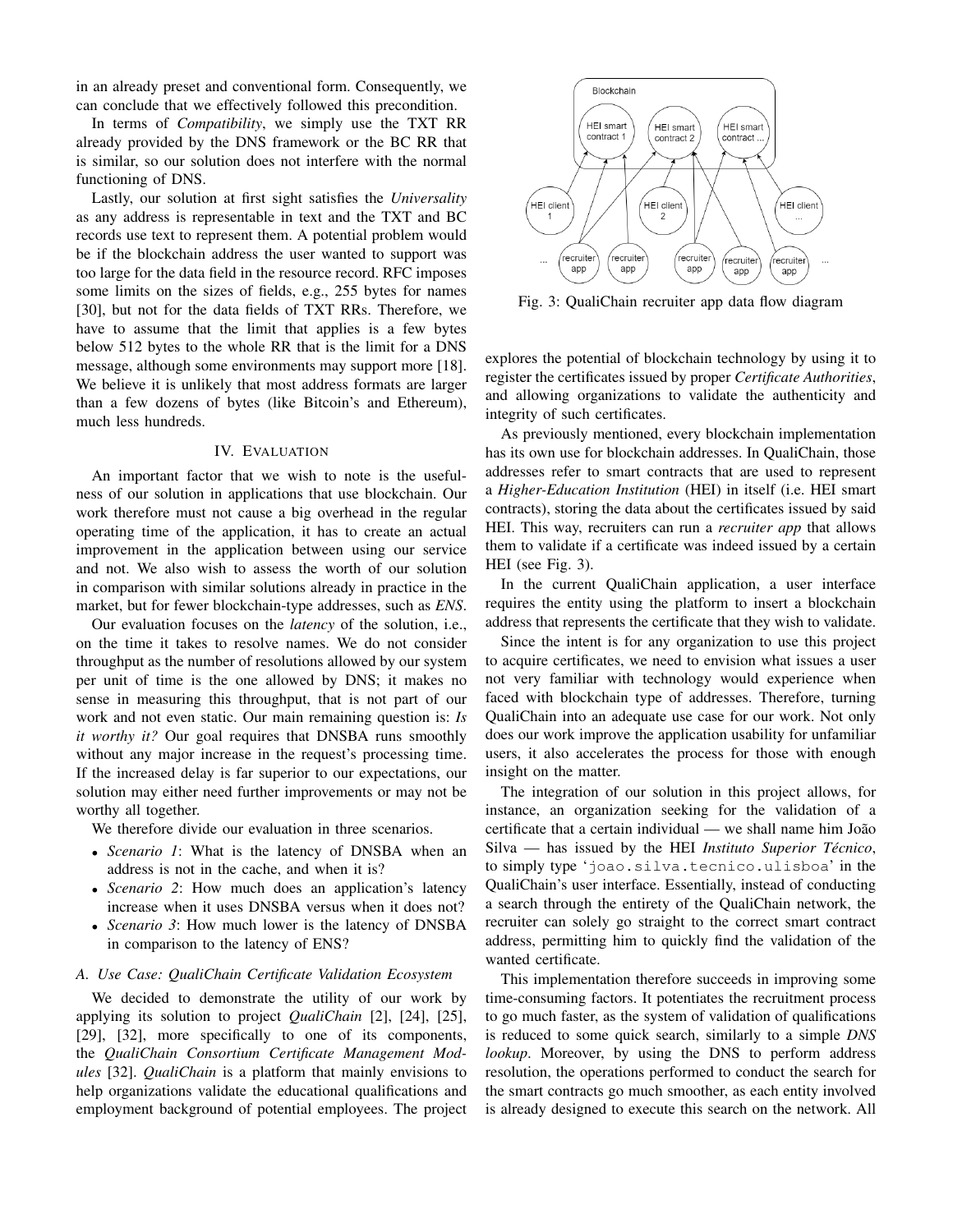in an already preset and conventional form. Consequently, we can conclude that we effectively followed this precondition.

In terms of *Compatibility*, we simply use the TXT RR already provided by the DNS framework or the BC RR that is similar, so our solution does not interfere with the normal functioning of DNS.

Lastly, our solution at first sight satisfies the *Universality* as any address is representable in text and the TXT and BC records use text to represent them. A potential problem would be if the blockchain address the user wanted to support was too large for the data field in the resource record. RFC imposes some limits on the sizes of fields, e.g., 255 bytes for names [30], but not for the data fields of TXT RRs. Therefore, we have to assume that the limit that applies is a few bytes below 512 bytes to the whole RR that is the limit for a DNS message, although some environments may support more [18]. We believe it is unlikely that most address formats are larger than a few dozens of bytes (like Bitcoin's and Ethereum), much less hundreds.

## IV. EVALUATION

An important factor that we wish to note is the usefulness of our solution in applications that use blockchain. Our work therefore must not cause a big overhead in the regular operating time of the application, it has to create an actual improvement in the application between using our service and not. We also wish to assess the worth of our solution in comparison with similar solutions already in practice in the market, but for fewer blockchain-type addresses, such as *ENS*.

Our evaluation focuses on the *latency* of the solution, i.e., on the time it takes to resolve names. We do not consider throughput as the number of resolutions allowed by our system per unit of time is the one allowed by DNS; it makes no sense in measuring this throughput, that is not part of our work and not even static. Our main remaining question is: *Is it worthy it?* Our goal requires that DNSBA runs smoothly without any major increase in the request's processing time. If the increased delay is far superior to our expectations, our solution may either need further improvements or may not be worthy all together.

We therefore divide our evaluation in three scenarios.

- *Scenario 1*: What is the latency of DNSBA when an address is not in the cache, and when it is?
- *Scenario 2*: How much does an application's latency increase when it uses DNSBA versus when it does not?
- *Scenario 3*: How much lower is the latency of DNSBA in comparison to the latency of ENS?

### *A. Use Case: QualiChain Certificate Validation Ecosystem*

We decided to demonstrate the utility of our work by applying its solution to project *QualiChain* [2], [24], [25], [29], [32], more specifically to one of its components, the *QualiChain Consortium Certificate Management Modules* [32]. *QualiChain* is a platform that mainly envisions to help organizations validate the educational qualifications and employment background of potential employees. The project



Fig. 3: QualiChain recruiter app data flow diagram

explores the potential of blockchain technology by using it to register the certificates issued by proper *Certificate Authorities*, and allowing organizations to validate the authenticity and integrity of such certificates.

As previously mentioned, every blockchain implementation has its own use for blockchain addresses. In QualiChain, those addresses refer to smart contracts that are used to represent a *Higher-Education Institution* (HEI) in itself (i.e. HEI smart contracts), storing the data about the certificates issued by said HEI. This way, recruiters can run a *recruiter app* that allows them to validate if a certificate was indeed issued by a certain HEI (see Fig. 3).

In the current QualiChain application, a user interface requires the entity using the platform to insert a blockchain address that represents the certificate that they wish to validate.

Since the intent is for any organization to use this project to acquire certificates, we need to envision what issues a user not very familiar with technology would experience when faced with blockchain type of addresses. Therefore, turning QualiChain into an adequate use case for our work. Not only does our work improve the application usability for unfamiliar users, it also accelerates the process for those with enough insight on the matter.

The integration of our solution in this project allows, for instance, an organization seeking for the validation of a certificate that a certain individual — we shall name him João Silva — has issued by the HEI *Instituto Superior Técnico*, to simply type 'joao.silva.tecnico.ulisboa' in the QualiChain's user interface. Essentially, instead of conducting a search through the entirety of the QualiChain network, the recruiter can solely go straight to the correct smart contract address, permitting him to quickly find the validation of the wanted certificate.

This implementation therefore succeeds in improving some time-consuming factors. It potentiates the recruitment process to go much faster, as the system of validation of qualifications is reduced to some quick search, similarly to a simple *DNS lookup*. Moreover, by using the DNS to perform address resolution, the operations performed to conduct the search for the smart contracts go much smoother, as each entity involved is already designed to execute this search on the network. All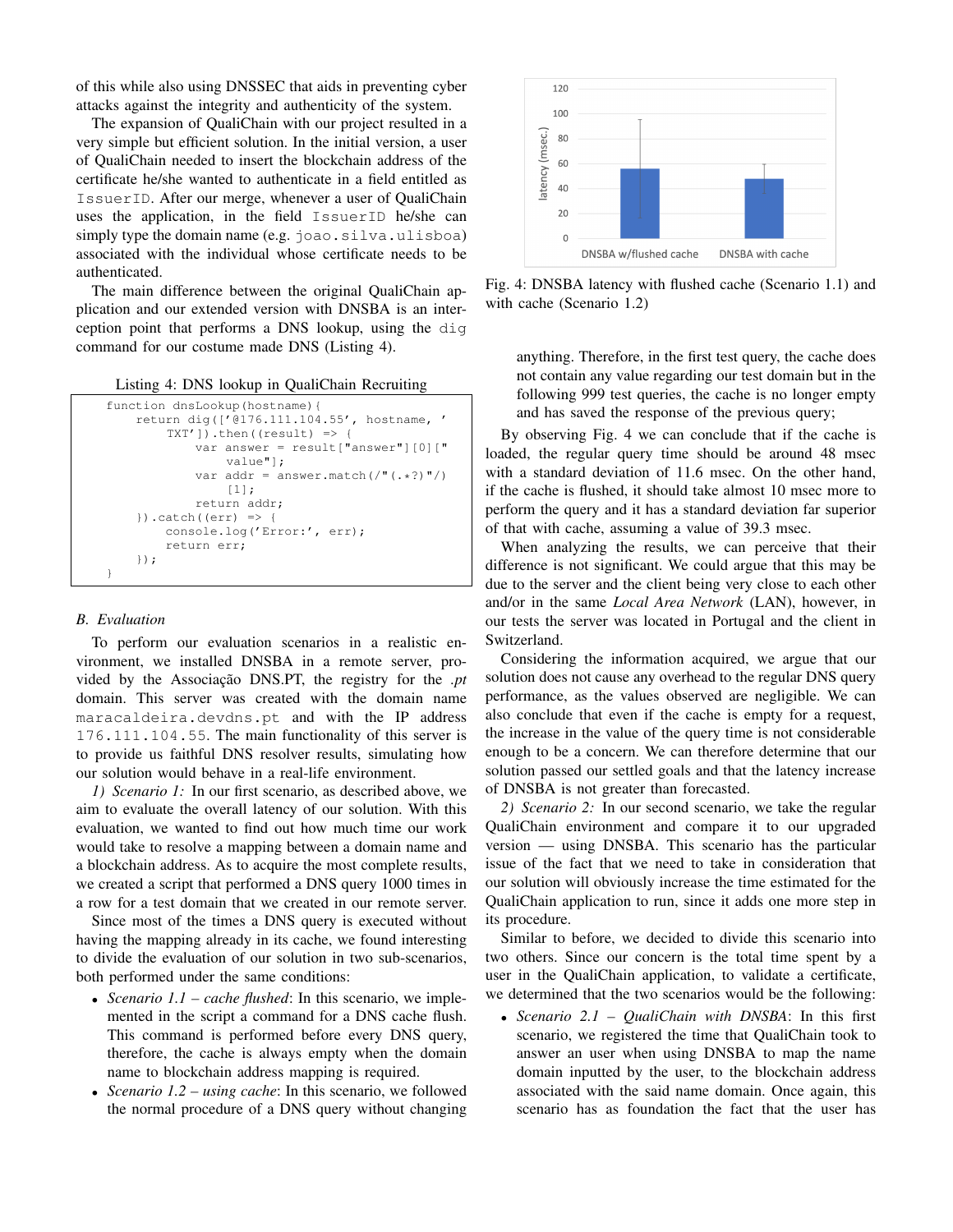of this while also using DNSSEC that aids in preventing cyber attacks against the integrity and authenticity of the system.

The expansion of QualiChain with our project resulted in a very simple but efficient solution. In the initial version, a user of QualiChain needed to insert the blockchain address of the certificate he/she wanted to authenticate in a field entitled as IssuerID. After our merge, whenever a user of QualiChain uses the application, in the field IssuerID he/she can simply type the domain name (e.g. joao.silva.ulisboa) associated with the individual whose certificate needs to be authenticated.

The main difference between the original QualiChain application and our extended version with DNSBA is an interception point that performs a DNS lookup, using the dig command for our costume made DNS (Listing 4).

Listing 4: DNS lookup in QualiChain Recruiting

```
function dnsLookup(hostname){
    return dig(['@176.111.104.55', hostname, '
        TXT']).then((result) => {
            var answer = result["answer"][0]["
                value"];
            var addr = answer.match(/"(.*?)"/)
                [1];
            return addr;
    }).catch((err) => {
        console.log('Error:', err);
        return err;
    });
}
```
#### *B. Evaluation*

To perform our evaluation scenarios in a realistic environment, we installed DNSBA in a remote server, provided by the Associação DNS.PT, the registry for the *.pt* domain. This server was created with the domain name maracaldeira.devdns.pt and with the IP address 176.111.104.55. The main functionality of this server is to provide us faithful DNS resolver results, simulating how our solution would behave in a real-life environment.

*1) Scenario 1:* In our first scenario, as described above, we aim to evaluate the overall latency of our solution. With this evaluation, we wanted to find out how much time our work would take to resolve a mapping between a domain name and a blockchain address. As to acquire the most complete results, we created a script that performed a DNS query 1000 times in a row for a test domain that we created in our remote server.

Since most of the times a DNS query is executed without having the mapping already in its cache, we found interesting to divide the evaluation of our solution in two sub-scenarios, both performed under the same conditions:

- *Scenario 1.1 cache flushed*: In this scenario, we implemented in the script a command for a DNS cache flush. This command is performed before every DNS query, therefore, the cache is always empty when the domain name to blockchain address mapping is required.
- *Scenario 1.2 using cache*: In this scenario, we followed the normal procedure of a DNS query without changing



Fig. 4: DNSBA latency with flushed cache (Scenario 1.1) and with cache (Scenario 1.2)

anything. Therefore, in the first test query, the cache does not contain any value regarding our test domain but in the following 999 test queries, the cache is no longer empty and has saved the response of the previous query;

By observing Fig. 4 we can conclude that if the cache is loaded, the regular query time should be around 48 msec with a standard deviation of 11.6 msec. On the other hand, if the cache is flushed, it should take almost 10 msec more to perform the query and it has a standard deviation far superior of that with cache, assuming a value of 39.3 msec.

When analyzing the results, we can perceive that their difference is not significant. We could argue that this may be due to the server and the client being very close to each other and/or in the same *Local Area Network* (LAN), however, in our tests the server was located in Portugal and the client in Switzerland.

Considering the information acquired, we argue that our solution does not cause any overhead to the regular DNS query performance, as the values observed are negligible. We can also conclude that even if the cache is empty for a request, the increase in the value of the query time is not considerable enough to be a concern. We can therefore determine that our solution passed our settled goals and that the latency increase of DNSBA is not greater than forecasted.

*2) Scenario 2:* In our second scenario, we take the regular QualiChain environment and compare it to our upgraded version — using DNSBA. This scenario has the particular issue of the fact that we need to take in consideration that our solution will obviously increase the time estimated for the QualiChain application to run, since it adds one more step in its procedure.

Similar to before, we decided to divide this scenario into two others. Since our concern is the total time spent by a user in the QualiChain application, to validate a certificate, we determined that the two scenarios would be the following:

• *Scenario 2.1 – QualiChain with DNSBA*: In this first scenario, we registered the time that QualiChain took to answer an user when using DNSBA to map the name domain inputted by the user, to the blockchain address associated with the said name domain. Once again, this scenario has as foundation the fact that the user has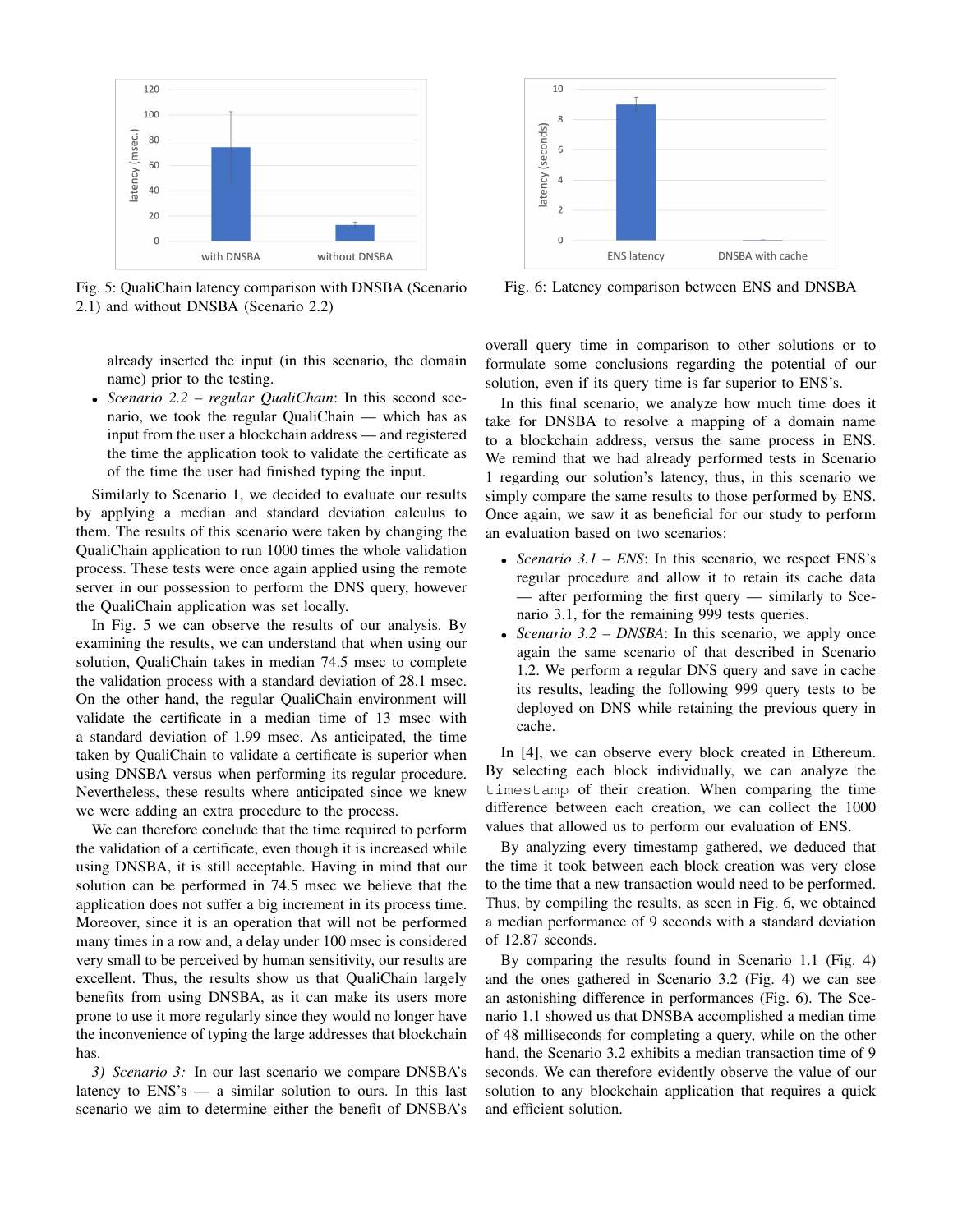

Fig. 5: QualiChain latency comparison with DNSBA (Scenario 2.1) and without DNSBA (Scenario 2.2)

already inserted the input (in this scenario, the domain name) prior to the testing.

• *Scenario 2.2 – regular QualiChain*: In this second scenario, we took the regular QualiChain — which has as input from the user a blockchain address — and registered the time the application took to validate the certificate as of the time the user had finished typing the input.

Similarly to Scenario 1, we decided to evaluate our results by applying a median and standard deviation calculus to them. The results of this scenario were taken by changing the QualiChain application to run 1000 times the whole validation process. These tests were once again applied using the remote server in our possession to perform the DNS query, however the QualiChain application was set locally.

In Fig. 5 we can observe the results of our analysis. By examining the results, we can understand that when using our solution, QualiChain takes in median 74.5 msec to complete the validation process with a standard deviation of 28.1 msec. On the other hand, the regular QualiChain environment will validate the certificate in a median time of 13 msec with a standard deviation of 1.99 msec. As anticipated, the time taken by QualiChain to validate a certificate is superior when using DNSBA versus when performing its regular procedure. Nevertheless, these results where anticipated since we knew we were adding an extra procedure to the process.

We can therefore conclude that the time required to perform the validation of a certificate, even though it is increased while using DNSBA, it is still acceptable. Having in mind that our solution can be performed in 74.5 msec we believe that the application does not suffer a big increment in its process time. Moreover, since it is an operation that will not be performed many times in a row and, a delay under 100 msec is considered very small to be perceived by human sensitivity, our results are excellent. Thus, the results show us that QualiChain largely benefits from using DNSBA, as it can make its users more prone to use it more regularly since they would no longer have the inconvenience of typing the large addresses that blockchain has.

*3) Scenario 3:* In our last scenario we compare DNSBA's latency to ENS's — a similar solution to ours. In this last scenario we aim to determine either the benefit of DNSBA's



Fig. 6: Latency comparison between ENS and DNSBA

overall query time in comparison to other solutions or to formulate some conclusions regarding the potential of our solution, even if its query time is far superior to ENS's.

In this final scenario, we analyze how much time does it take for DNSBA to resolve a mapping of a domain name to a blockchain address, versus the same process in ENS. We remind that we had already performed tests in Scenario 1 regarding our solution's latency, thus, in this scenario we simply compare the same results to those performed by ENS. Once again, we saw it as beneficial for our study to perform an evaluation based on two scenarios:

- *Scenario 3.1 ENS*: In this scenario, we respect ENS's regular procedure and allow it to retain its cache data — after performing the first query — similarly to Scenario 3.1, for the remaining 999 tests queries.
- *Scenario 3.2 DNSBA*: In this scenario, we apply once again the same scenario of that described in Scenario 1.2. We perform a regular DNS query and save in cache its results, leading the following 999 query tests to be deployed on DNS while retaining the previous query in cache.

In [4], we can observe every block created in Ethereum. By selecting each block individually, we can analyze the timestamp of their creation. When comparing the time difference between each creation, we can collect the 1000 values that allowed us to perform our evaluation of ENS.

By analyzing every timestamp gathered, we deduced that the time it took between each block creation was very close to the time that a new transaction would need to be performed. Thus, by compiling the results, as seen in Fig. 6, we obtained a median performance of 9 seconds with a standard deviation of 12.87 seconds.

By comparing the results found in Scenario 1.1 (Fig. 4) and the ones gathered in Scenario 3.2 (Fig. 4) we can see an astonishing difference in performances (Fig. 6). The Scenario 1.1 showed us that DNSBA accomplished a median time of 48 milliseconds for completing a query, while on the other hand, the Scenario 3.2 exhibits a median transaction time of 9 seconds. We can therefore evidently observe the value of our solution to any blockchain application that requires a quick and efficient solution.